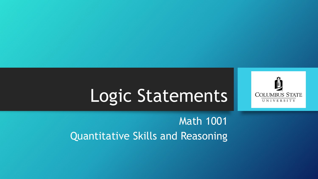

# Logic Statements

#### Math 1001 Quantitative Skills and Reasoning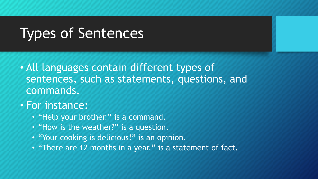## Types of Sentences

• All languages contain different types of sentences, such as statements, questions, and commands.

#### • For instance:

- "Help your brother." is a command.
- "How is the weather?" is a question.
- "Your cooking is delicious!" is an opinion.
- "There are 12 months in a year." is a statement of fact.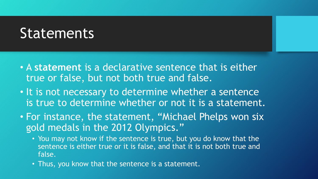#### **Statements**

- A **statement** is a declarative sentence that is either true or false, but not both true and false.
- It is not necessary to determine whether a sentence is true to determine whether or not it is a statement.
- For instance, the statement, "Michael Phelps won six gold medals in the 2012 Olympics."
	- You may not know if the sentence is true, but you do know that the sentence is either true or it is false, and that it is not both true and false.
	- Thus, you know that the sentence is a statement.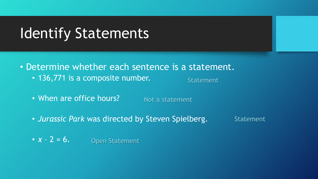### Identify Statements

• Determine whether each sentence is a statement.

• 136,771 is a composite number.

Statement

- When are office hours? Not a statement
- *Jurassic Park* was directed by Steven Spielberg. Statement
- $x 2 = 6$ . Open Statement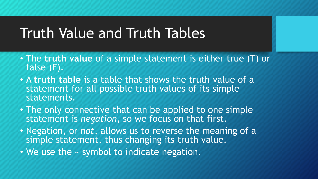### Truth Value and Truth Tables

- The **truth value** of a simple statement is either true (T) or false (F).
- A **truth table** is a table that shows the truth value of a statement for all possible truth values of its simple statements.
- The only connective that can be applied to one simple statement is *negation*, so we focus on that first.
- Negation, or *not*, allows us to reverse the meaning of a simple statement, thus changing its truth value.
- We use the  $\sim$  symbol to indicate negation.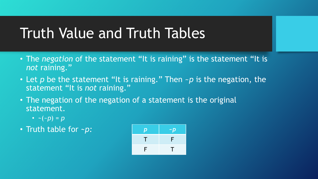## Truth Value and Truth Tables

- The *negation* of the statement "It is raining" is the statement "It is *not* raining."
- Let p be the statement "It is raining." Then ~p is the negation, the statement "It is *not* raining."
- The negation of the negation of a statement is the original statement.
	- $\sim$  (*~p*) = *p*
- Truth table for ~*p*:

| $\boldsymbol{p}$ | $-p$ |
|------------------|------|
| $\blacklozenge$  | F    |
| F                | T    |